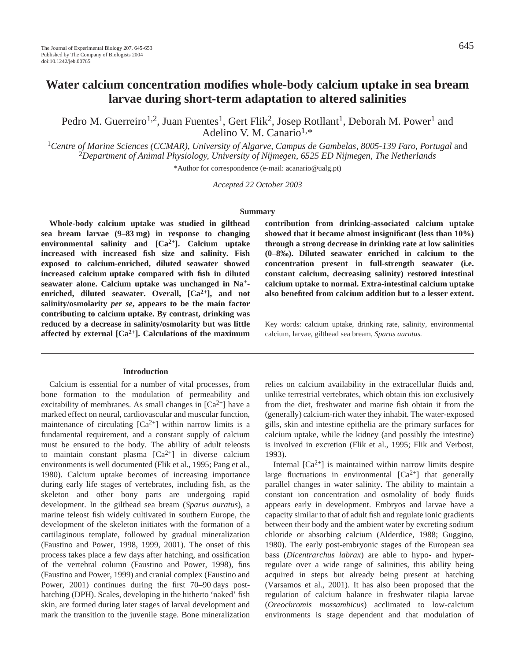# **Water calcium concentration modifies whole-body calcium uptake in sea bream larvae during short-term adaptation to altered salinities**

Pedro M. Guerreiro<sup>1,2</sup>, Juan Fuentes<sup>1</sup>, Gert Flik<sup>2</sup>, Josep Rotllant<sup>1</sup>, Deborah M. Power<sup>1</sup> and Adelino V. M. Canario<sup>1,\*</sup>

<sup>1</sup>*Centre of Marine Sciences (CCMAR), University of Algarve, Campus de Gambelas, 8005-139 Faro, Portugal* and <sup>2</sup>*Department of Animal Physiology, University of Nijmegen, 6525 ED Nijmegen, The Netherlands*

\*Author for correspondence (e-mail: acanario@ualg.pt)

*Accepted 22 October 2003*

#### **Summary**

**Whole-body calcium uptake was studied in gilthead sea bream larvae (9–83·mg) in response to changing environmental salinity and [Ca2+]. Calcium uptake increased with increased fish size and salinity. Fish exposed to calcium-enriched, diluted seawater showed increased calcium uptake compared with fish in diluted seawater alone. Calcium uptake was unchanged in Na+ enriched, diluted seawater. Overall, [Ca2+], and not salinity/osmolarity** *per se***, appears to be the main factor contributing to calcium uptake. By contrast, drinking was reduced by a decrease in salinity/osmolarity but was little affected by external [Ca2+]. Calculations of the maximum**

# **Introduction**

Calcium is essential for a number of vital processes, from bone formation to the modulation of permeability and excitability of membranes. As small changes in  $[Ca^{2+}]$  have a marked effect on neural, cardiovascular and muscular function, maintenance of circulating  $[Ca^{2+}]$  within narrow limits is a fundamental requirement, and a constant supply of calcium must be ensured to the body. The ability of adult teleosts to maintain constant plasma  $[Ca^{2+}]$  in diverse calcium environments is well documented (Flik et al., 1995; Pang et al., 1980). Calcium uptake becomes of increasing importance during early life stages of vertebrates, including fish, as the skeleton and other bony parts are undergoing rapid development. In the gilthead sea bream (*Sparus auratus*), a marine teleost fish widely cultivated in southern Europe, the development of the skeleton initiates with the formation of a cartilaginous template, followed by gradual mineralization (Faustino and Power, 1998, 1999, 2001). The onset of this process takes place a few days after hatching, and ossification of the vertebral column (Faustino and Power, 1998), fins (Faustino and Power, 1999) and cranial complex (Faustino and Power, 2001) continues during the first 70–90 days posthatching (DPH). Scales, developing in the hitherto 'naked' fish skin, are formed during later stages of larval development and mark the transition to the juvenile stage. Bone mineralization **contribution from drinking-associated calcium uptake showed that it became almost insignificant (less than 10%) through a strong decrease in drinking rate at low salinities (0–8‰). Diluted seawater enriched in calcium to the concentration present in full-strength seawater (i.e. constant calcium, decreasing salinity) restored intestinal calcium uptake to normal. Extra-intestinal calcium uptake also benefited from calcium addition but to a lesser extent.**

Key words: calcium uptake, drinking rate, salinity, environmental calcium, larvae, gilthead sea bream, *Sparus auratus.*

relies on calcium availability in the extracellular fluids and, unlike terrestrial vertebrates, which obtain this ion exclusively from the diet, freshwater and marine fish obtain it from the (generally) calcium-rich water they inhabit. The water-exposed gills, skin and intestine epithelia are the primary surfaces for calcium uptake, while the kidney (and possibly the intestine) is involved in excretion (Flik et al., 1995; Flik and Verbost, 1993).

Internal  $[Ca^{2+}]$  is maintained within narrow limits despite large fluctuations in environmental  $[Ca^{2+}]$  that generally parallel changes in water salinity. The ability to maintain a constant ion concentration and osmolality of body fluids appears early in development. Embryos and larvae have a capacity similar to that of adult fish and regulate ionic gradients between their body and the ambient water by excreting sodium chloride or absorbing calcium (Alderdice, 1988; Guggino, 1980). The early post-embryonic stages of the European sea bass (*Dicentrarchus labrax*) are able to hypo- and hyperregulate over a wide range of salinities, this ability being acquired in steps but already being present at hatching (Varsamos et al., 2001). It has also been proposed that the regulation of calcium balance in freshwater tilapia larvae (*Oreochromis mossambicus*) acclimated to low-calcium environments is stage dependent and that modulation of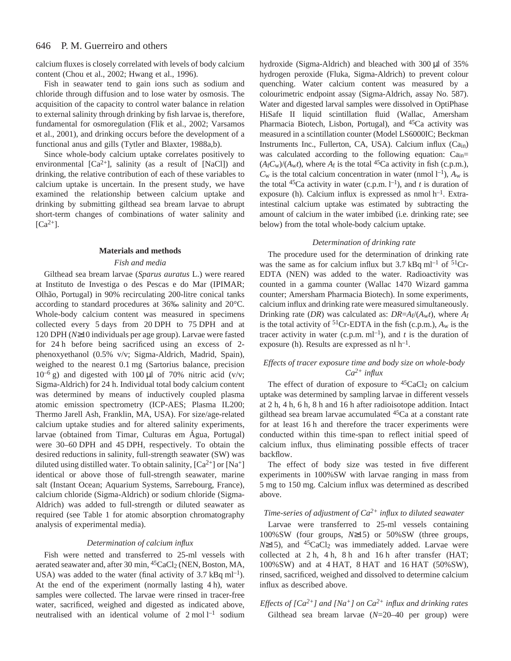#### 646 P. M. Guerreiro and others

calcium fluxes is closely correlated with levels of body calcium content (Chou et al., 2002; Hwang et al., 1996).

Fish in seawater tend to gain ions such as sodium and chloride through diffusion and to lose water by osmosis. The acquisition of the capacity to control water balance in relation to external salinity through drinking by fish larvae is, therefore, fundamental for osmoregulation (Flik et al., 2002; Varsamos et al., 2001), and drinking occurs before the development of a functional anus and gills (Tytler and Blaxter, 1988a,b).

Since whole-body calcium uptake correlates positively to environmental  $[Ca^{2+}]$ , salinity (as a result of [NaCl]) and drinking, the relative contribution of each of these variables to calcium uptake is uncertain. In the present study, we have examined the relationship between calcium uptake and drinking by submitting gilthead sea bream larvae to abrupt short-term changes of combinations of water salinity and  $[Ca^{2+}].$ 

#### **Materials and methods**

# *Fish and media*

Gilthead sea bream larvae (*Sparus auratus* L.) were reared at Instituto de Investiga o des Pescas e do Mar (IPIMAR; Olhão, Portugal) in 90% recirculating 200-litre conical tanks according to standard procedures at 36‰ salinity and 20°C. Whole-body calcium content was measured in specimens collected every 5 days from 20 DPH to 75 DPH and at 120 DPH (*N*≥10 individuals per age group). Larvae were fasted for 24 h before being sacrificed using an excess of 2phenoxyethanol (0.5% v/v; Sigma-Aldrich, Madrid, Spain), weighed to the nearest 0.1 mg (Sartorius balance, precision  $10^{-6}$  g) and digested with 100 µl of 70% nitric acid (v/v; Sigma-Aldrich) for 24 h. Individual total body calcium content was determined by means of inductively coupled plasma atomic emission spectrometry (ICP-AES; Plasma IL200; Thermo Jarell Ash, Franklin, MA, USA). For size/age-related calcium uptake studies and for altered salinity experiments, larvae (obtained from Timar, Culturas em Água, Portugal) were 30-60 DPH and 45 DPH, respectively. To obtain the desired reductions in salinity, full-strength seawater (SW) was diluted using distilled water. To obtain salinity,  $[Ca^{2+}]$  or  $[Na^+]$ identical or above those of full-strength seawater, marine salt (Instant Ocean; Aquarium Systems, Sarrebourg, France), calcium chloride (Sigma-Aldrich) or sodium chloride (Sigma-Aldrich) was added to full-strength or diluted seawater as required (see Table 1 for atomic absorption chromatography analysis of experimental media).

#### *Determination of calcium influx*

Fish were netted and transferred to 25-ml vessels with aerated seawater and, after 30 min, <sup>45</sup>CaCl<sub>2</sub> (NEN, Boston, MA, USA) was added to the water (final activity of  $3.7 \text{ kBq m}^{-1}$ ). At the end of the experiment (normally lasting  $4 h$ ), water samples were collected. The larvae were rinsed in tracer-free water, sacrificed, weighed and digested as indicated above, neutralised with an identical volume of  $2 \text{ mol } l^{-1}$  sodium

hydroxide (Sigma-Aldrich) and bleached with 300 µl of 35% hydrogen peroxide (Fluka, Sigma-Aldrich) to prevent colour quenching. Water calcium content was measured by a colourimetric endpoint assay (Sigma-Aldrich, assay No. 587). Water and digested larval samples were dissolved in OptiPhase HiSafe II liquid scintillation fluid (Wallac, Amersham Pharmacia Biotech, Lisbon, Portugal), and <sup>45</sup>Ca activity was measured in a scintillation counter (Model LS6000IC; Beckman Instruments Inc., Fullerton, CA, USA). Calcium influx (Ca<sub>in</sub>) was calculated according to the following equation:  $Ca<sub>in</sub>=$  $(A_fC_w)/(A_w t)$ , where  $A_f$  is the total <sup>45</sup>Ca activity in fish (c.p.m.),  $C_w$  is the total calcium concentration in water (nmol  $l^{-1}$ ),  $A_w$  is the total  ${}^{45}Ca$  activity in water (c.p.m.  $l^{-1}$ ), and *t* is duration of exposure (h). Calcium influx is expressed as nmol  $h^{-1}$ . Extraintestinal calcium uptake was estimated by subtracting the amount of calcium in the water imbibed (i.e. drinking rate; see below) from the total whole-body calcium uptake.

# *Determination of drinking rate*

The procedure used for the determination of drinking rate was the same as for calcium influx but  $3.7 \text{ kBq ml}^{-1}$  of  $51\text{Cr}$ -EDTA (NEN) was added to the water. Radioactivity was counted in a gamma counter (Wallac 1470 Wizard gamma counter; Amersham Pharmacia Biotech). In some experiments, calcium influx and drinking rate were measured simultaneously. Drinking rate (*DR*) was calculated as: *DR*=*A*f/(*A*w*t*), where *A*f is the total activity of <sup>51</sup>Cr-EDTA in the fish (c.p.m.),  $A_w$  is the tracer activity in water (c.p.m.  $ml^{-1}$ ), and *t* is the duration of exposure (h). Results are expressed as  $nl h^{-1}$ .

# *Effects of tracer exposure time and body size on whole-body Ca2+ influx*

The effect of duration of exposure to  $45CaCl<sub>2</sub>$  on calcium uptake was determined by sampling larvae in different vessels at 2 h, 4 h, 6 h, 8 h and 16 h after radioisotope addition. Intact gilthead sea bream larvae accumulated 45Ca at a constant rate for at least 16 h and therefore the tracer experiments were conducted within this time-span to reflect initial speed of calcium influx, thus eliminating possible effects of tracer backflow.

The effect of body size was tested in five different experiments in 100%SW with larvae ranging in mass from 5 mg to 150 mg. Calcium influx was determined as described above.

# *Time-series of adjustment of Ca2+ influx to diluted seawater*

Larvae were transferred to 25-ml vessels containing 100%SW (four groups, *N*≥15) or 50%SW (three groups,  $N\geq$ 15), and <sup>45</sup>CaCl<sub>2</sub> was immediately added. Larvae were collected at  $2h$ ,  $4h$ ,  $8h$  and  $16h$  after transfer (HAT; 100%SW) and at 4 HAT, 8 HAT and 16 HAT (50%SW), rinsed, sacrificed, weighed and dissolved to determine calcium influx as described above.

*Effects of [Ca2+] and [Na+] on Ca2+ influx and drinking rates* Gilthead sea bream larvae (*N*=20–40 per group) were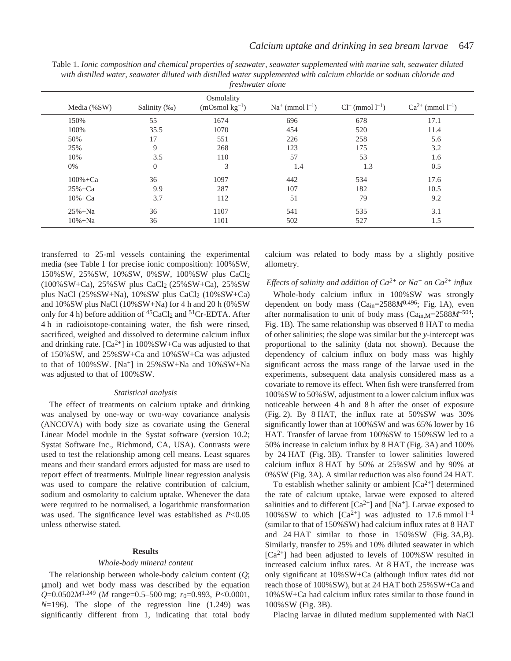Table 1. *Ionic composition and chemical properties of seawater, seawater supplemented with marine salt, seawater diluted with distilled water, seawater diluted with distilled water supplemented with calcium chloride or sodium chloride and freshwater alone*

| Media (%SW) | Salinity (‰)   | Osmolality<br>$(mOsmol kg^{-1})$ | $Na^{+}$ (mmol $l^{-1}$ ) | $Cl^{-}$ (mmol $l^{-1}$ ) | $Ca^{2+}$ (mmol $l^{-1}$ ) |
|-------------|----------------|----------------------------------|---------------------------|---------------------------|----------------------------|
| 150%        | 55             | 1674                             | 696                       | 678                       | 17.1                       |
| 100%        | 35.5           | 1070                             | 454                       | 520                       | 11.4                       |
| 50%         | 17             | 551                              | 226                       | 258                       | 5.6                        |
| 25%         | 9              | 268                              | 123                       | 175                       | 3.2                        |
| 10%         | 3.5            | 110                              | 57                        | 53                        | 1.6                        |
| $0\%$       | $\overline{0}$ | 3                                | 1.4                       | 1.3                       | 0.5                        |
| $100% + Ca$ | 36             | 1097                             | 442                       | 534                       | 17.6                       |
| $25% + Ca$  | 9.9            | 287                              | 107                       | 182                       | 10.5                       |
| $10% + Ca$  | 3.7            | 112                              | 51                        | 79                        | 9.2                        |
| $25% + Na$  | 36             | 1107                             | 541                       | 535                       | 3.1                        |
| $10\% + Na$ | 36             | 1101                             | 502                       | 527                       | 1.5                        |

transferred to 25-ml vessels containing the experimental media (see Table 1 for precise ionic composition):  $100\%SW$ , 150%SW, 25%SW, 10%SW, 0%SW, 100%SW plus CaCl2 (100%SW+Ca), 25%SW plus CaCl2 (25%SW+Ca), 25%SW plus NaCl  $(25\%SW+Na)$ , 10%SW plus CaCl<sub>2</sub>  $(10\%SW+Ca)$ and  $10\%$ SW plus NaCl ( $10\%$ SW+Na) for 4 h and 20 h ( $0\%$ SW only for 4 h) before addition of  $45$ CaCl<sub>2</sub> and  $51$ Cr-EDTA. After 4 h in radioisotope-containing water, the fish were rinsed, sacrificed, weighed and dissolved to determine calcium influx and drinking rate.  $[Ca^{2+}]$  in 100%SW+Ca was adjusted to that of 150%SW, and 25%SW+Ca and 10%SW+Ca was adjusted to that of  $100\%$ SW. [Na<sup>+</sup>] in  $25\%$ SW+Na and  $10\%$ SW+Na was adjusted to that of 100%SW.

## *Statistical analysis*

The effect of treatments on calcium uptake and drinking was analysed by one-way or two-way covariance analysis (ANCOVA) with body size as covariate using the General Linear Model module in the Systat software (version 10.2; Systat Software Inc., Richmond, CA, USA). Contrasts were used to test the relationship among cell means. Least squares means and their standard errors adjusted for mass are used to report effect of treatments. Multiple linear regression analysis was used to compare the relative contribution of calcium, sodium and osmolarity to calcium uptake. Whenever the data were required to be normalised, a logarithmic transformation was used. The significance level was established as *P*<0.05 unless otherwise stated.

### **Results**

### *Whole-body mineral content*

The relationship between whole-body calcium content (*Q*; µmol) and wet body mass was described by the equation  $Q=0.0502M^{1.249}$  (*M* range=0.5–500 mg;  $r_0=0.993$ ,  $P<0.0001$ , *N*=196). The slope of the regression line (1.249) was significantly different from 1, indicating that total body calcium was related to body mass by a slightly positive allometry.

# *Effects of salinity and addition of Ca2+ or Na+ on Ca2+ influx*

Whole-body calcium influx in 100%SW was strongly dependent on body mass  $(Ca_{in}=2588M^{0.496}$ ; Fig. 1A), even after normalisation to unit of body mass (Ca<sub>in,M</sub>=2588*M*<sup>-504</sup>; Fig. 1B). The same relationship was observed 8 HAT to media of other salinities; the slope was similar but the *y*-intercept was proportional to the salinity (data not shown). Because the dependency of calcium influx on body mass was highly significant across the mass range of the larvae used in the experiments, subsequent data analysis considered mass as a covariate to remove its effect. When fish were transferred from 100%SW to 50%SW, adjustment to a lower calcium influx was noticeable between 4 h and 8 h after the onset of exposure (Fig. 2). By 8 HAT, the influx rate at  $50\%$ SW was 30% significantly lower than at 100%SW and was 65% lower by 16 HAT. Transfer of larvae from 100%SW to 150%SW led to a 50% increase in calcium influx by 8 HAT (Fig. 3A) and 100% by 24 HAT (Fig. 3B). Transfer to lower salinities lowered calcium influx  $8$  HAT by 50% at  $25\%$ SW and by 90% at 0%SW (Fig. 3A). A similar reduction was also found 24 HAT.

To establish whether salinity or ambient  $[Ca^{2+}]$  determined the rate of calcium uptake, larvae were exposed to altered salinities and to different  $[Ca^{2+}]$  and  $[Na^{+}]$ . Larvae exposed to 100%SW to which  $[Ca^{2+}]$  was adjusted to 17.6 mmol  $l^{-1}$ (similar to that of  $150\%$ SW) had calcium influx rates at  $8$  HAT and 24 HAT similar to those in  $150\%$ SW (Fig. 3A,B). Similarly, transfer to 25% and 10% diluted seawater in which  $[Ca^{2+}]$  had been adjusted to levels of 100%SW resulted in increased calcium influx rates. At 8 HAT, the increase was only significant at 10%SW+Ca (although influx rates did not reach those of  $100\%$  SW), but at 24 HAT both  $25\%$  SW+Ca and 10%SW+Ca had calcium influx rates similar to those found in 100%SW (Fig. 3B).

Placing larvae in diluted medium supplemented with NaCl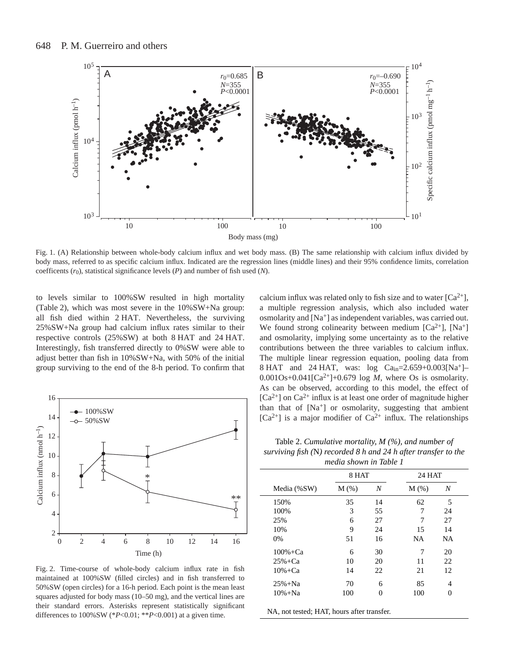

Fig. 1. (A) Relationship between whole-body calcium influx and wet body mass. (B) The same relationship with calcium influx divided by body mass, referred to as specific calcium influx. Indicated are the regression lines (middle lines) and their 95% confidence limits, correlation coefficents (*r*0), statistical significance levels (*P*) and number of fish used (*N*).

to levels similar to 100%SW resulted in high mortality (Table 2), which was most severe in the  $10\%SW+Na$  group: all fish died within 2 HAT. Nevertheless, the surviving 25%SW+Na group had calcium influx rates similar to their respective controls (25%SW) at both 8 HAT and 24 HAT. Interestingly, fish transferred directly to 0%SW were able to adjust better than fish in 10%SW+Na, with 50% of the initial group surviving to the end of the 8-h period. To confirm that



Fig. 2. Time-course of whole-body calcium influx rate in fish maintained at 100%SW (filled circles) and in fish transferred to 50%SW (open circles) for a 16-h period. Each point is the mean least squares adjusted for body mass (10–50 mg), and the vertical lines are their standard errors. Asterisks represent statistically significant differences to 100%SW (\**P*<0.01; \*\**P*<0.001) at a given time.

calcium influx was related only to fish size and to water  $[Ca^{2+}]$ , a multiple regression analysis, which also included water osmolarity and [Na+] as independent variables, was carried out. We found strong colinearity between medium  $[Ca^{2+}]$ ,  $[Na^{+}]$ and osmolarity, implying some uncertainty as to the relative contributions between the three variables to calcium influx. The multiple linear regression equation, pooling data from 8 HAT and 24 HAT, was: log Ca<sub>in</sub>=2.659+0.003[Na<sup>+</sup>]-0.001Os+0.041[Ca<sup>2+</sup>]+0.679 log *M*, where Os is osmolarity. As can be observed, according to this model, the effect of  $[Ca^{2+}]$  on  $Ca^{2+}$  influx is at least one order of magnitude higher than that of [Na+] or osmolarity, suggesting that ambient  $[Ca^{2+}]$  is a major modifier of  $Ca^{2+}$  influx. The relationships

Table 2. *Cumulative mortality, M (%), and number of surviving fish (*N*) recorded 8·h and 24·h after transfer to the media shown in Table·1*

|             | 8 HAT |    | 24 HAT    |           |
|-------------|-------|----|-----------|-----------|
| Media (%SW) | M(%)  | N  | $M$ (%)   | N         |
| 150%        | 35    | 14 | 62        | 5         |
| 100%        | 3     | 55 | 7         | 24        |
| 25%         | 6     | 27 | 7         | 27        |
| 10%         | 9     | 24 | 15        | 14        |
| 0%          | 51    | 16 | <b>NA</b> | <b>NA</b> |
| $100% + Ca$ | 6     | 30 | 7         | 20        |
| $25% + Ca$  | 10    | 20 | 11        | 22        |
| $10% + Ca$  | 14    | 22 | 21        | 12        |
| $25% + Na$  | 70    | 6  | 85        | 4         |
| $10% + Na$  | 100   | 0  | 100       | 0         |

NA, not tested; HAT, hours after transfer.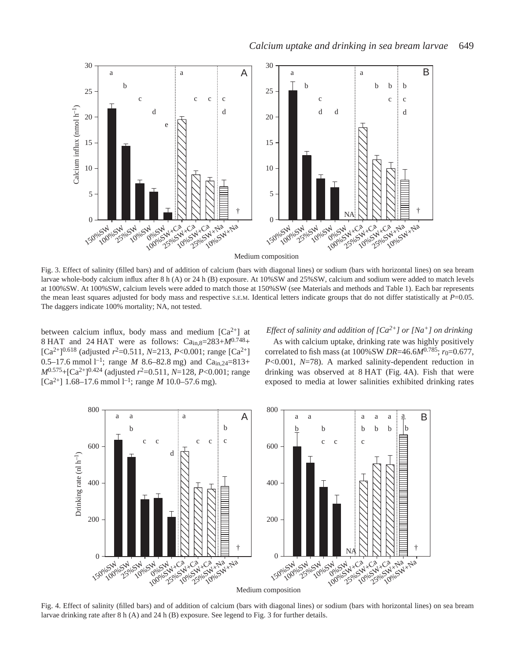

Fig. 3. Effect of salinity (filled bars) and of addition of calcium (bars with diagonal lines) or sodium (bars with horizontal lines) on sea bream larvae whole-body calcium influx after 8 h (A) or 24 h (B) exposure. At 10%SW and 25%SW, calcium and sodium were added to match levels at 100%SW. At 100%SW, calcium levels were added to match those at 150%SW (see Materials and methods and Table·1). Each bar represents the mean least squares adjusted for body mass and respective S.E.M. Identical letters indicate groups that do not differ statistically at *P*=0.05. The daggers indicate 100% mortality; NA, not tested.

between calcium influx, body mass and medium  $[Ca^{2+}]$  at 8 HAT and 24 HAT were as follows:  $Ca<sub>in.8</sub>=283+*M*<sup>0.748</sup> +$  $[Ca^{2+}]^{0.618}$  (adjusted  $r^2$ =0.511, *N*=213, *P*<0.001; range  $[Ca^{2+}]$ 0.5–17.6 mmol<sup>1-1</sup>; range *M* 8.6–82.8 mg) and Ca<sub>in,24</sub>=813+ *M*<sup>0.575</sup>+[Ca<sup>2+</sup>]<sup>0.424</sup> (adjusted  $r^2$ =0.511, *N*=128, *P*<0.001; range  $[Ca^{2+}]$  1.68–17.6 mmol l<sup>-1</sup>; range *M* 10.0–57.6 mg).

*Effect of salinity and addition of [Ca2+] or [Na+] on drinking*

As with calcium uptake, drinking rate was highly positively correlated to fish mass (at  $100\%$  SW *DR*=46.6 $M^{0.785}$ ;  $r_0$ =0.677, *P*<0.001, *N*=78). A marked salinity-dependent reduction in drinking was observed at  $8$  HAT (Fig. 4A). Fish that were exposed to media at lower salinities exhibited drinking rates



Fig. 4. Effect of salinity (filled bars) and of addition of calcium (bars with diagonal lines) or sodium (bars with horizontal lines) on sea bream larvae drinking rate after  $8 h (A)$  and  $24 h (B)$  exposure. See legend to Fig. 3 for further details.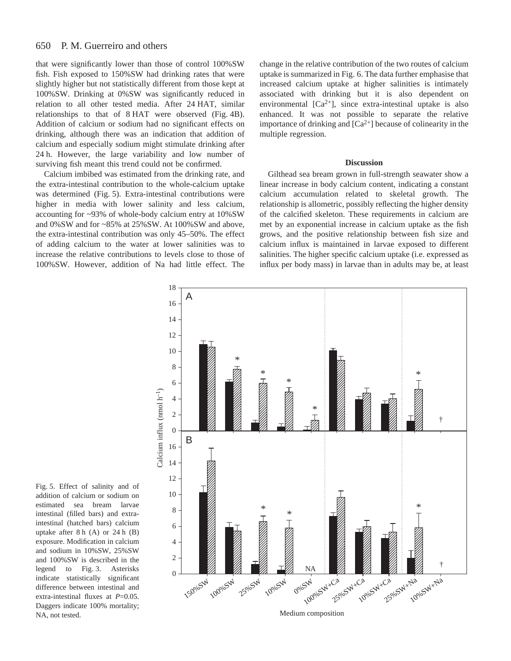#### 650 P. M. Guerreiro and others

that were significantly lower than those of control 100%SW fish. Fish exposed to 150%SW had drinking rates that were slightly higher but not statistically different from those kept at 100%SW. Drinking at 0%SW was significantly reduced in relation to all other tested media. After 24 HAT, similar relationships to that of 8 HAT were observed (Fig. 4B). Addition of calcium or sodium had no significant effects on drinking, although there was an indication that addition of calcium and especially sodium might stimulate drinking after 24 h. However, the large variability and low number of surviving fish meant this trend could not be confirmed.

Calcium imbibed was estimated from the drinking rate, and the extra-intestinal contribution to the whole-calcium uptake was determined (Fig. 5). Extra-intestinal contributions were higher in media with lower salinity and less calcium, accounting for ~93% of whole-body calcium entry at 10%SW and 0%SW and for ~85% at 25%SW. At 100%SW and above, the extra-intestinal contribution was only 45–50%. The effect of adding calcium to the water at lower salinities was to increase the relative contributions to levels close to those of 100%SW. However, addition of Na had little effect. The

change in the relative contribution of the two routes of calcium uptake is summarized in Fig. 6. The data further emphasise that increased calcium uptake at higher salinities is intimately associated with drinking but it is also dependent on environmental  $[Ca^{2+}]$ , since extra-intestinal uptake is also enhanced. It was not possible to separate the relative importance of drinking and  $[Ca^{2+}]$  because of colinearity in the multiple regression.

#### **Discussion**

Gilthead sea bream grown in full-strength seawater show a linear increase in body calcium content, indicating a constant calcium accumulation related to skeletal growth. The relationship is allometric, possibly reflecting the higher density of the calcified skeleton. These requirements in calcium are met by an exponential increase in calcium uptake as the fish grows, and the positive relationship between fish size and calcium influx is maintained in larvae exposed to different salinities. The higher specific calcium uptake (i.e. expressed as influx per body mass) in larvae than in adults may be, at least



Fig. 5. Effect of salinity and of addition of calcium or sodium on estimated sea bream larvae intestinal (filled bars) and extraintestinal (hatched bars) calcium uptake after  $8 h (A)$  or  $24 h (B)$ exposure. Modification in calcium and sodium in 10%SW, 25%SW and 100%SW is described in the legend to Fig. 3. Asterisks indicate statistically significant difference between intestinal and extra-intestinal fluxes at *P*=0.05. Daggers indicate 100% mortality; NA, not tested.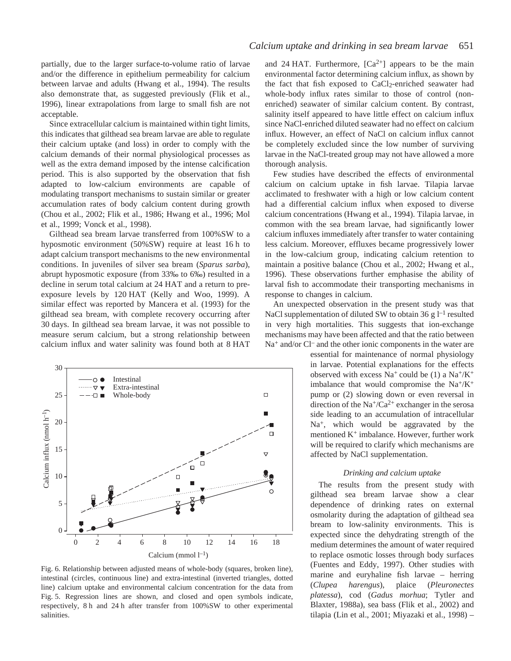partially, due to the larger surface-to-volume ratio of larvae and/or the difference in epithelium permeability for calcium between larvae and adults (Hwang et al., 1994). The results also demonstrate that, as suggested previously (Flik et al., 1996), linear extrapolations from large to small fish are not acceptable.

Since extracellular calcium is maintained within tight limits, this indicates that gilthead sea bream larvae are able to regulate their calcium uptake (and loss) in order to comply with the calcium demands of their normal physiological processes as well as the extra demand imposed by the intense calcification period. This is also supported by the observation that fish adapted to low-calcium environments are capable of modulating transport mechanisms to sustain similar or greater accumulation rates of body calcium content during growth (Chou et al., 2002; Flik et al., 1986; Hwang et al., 1996; Mol et al., 1999; Vonck et al., 1998).

Gilthead sea bream larvae transferred from 100%SW to a hyposmotic environment  $(50\% \text{SW})$  require at least 16 h to adapt calcium transport mechanisms to the new environmental conditions. In juveniles of silver sea bream (*Sparus sarba*), abrupt hyposmotic exposure (from 33‰ to 6‰) resulted in a decline in serum total calcium at 24 HAT and a return to preexposure levels by 120 HAT (Kelly and Woo, 1999). A similar effect was reported by Mancera et al. (1993) for the gilthead sea bream, with complete recovery occurring after 30 days. In gilthead sea bream larvae, it was not possible to measure serum calcium, but a strong relationship between calcium influx and water salinity was found both at 8 HAT



Fig. 6. Relationship between adjusted means of whole-body (squares, broken line), intestinal (circles, continuous line) and extra-intestinal (inverted triangles, dotted line) calcium uptake and environmental calcium concentration for the data from Fig. 5. Regression lines are shown, and closed and open symbols indicate, respectively, 8 h and 24 h after transfer from 100%SW to other experimental salinities.

and 24 HAT. Furthermore,  $[Ca^{2+}]$  appears to be the main environmental factor determining calcium influx, as shown by the fact that fish exposed to CaCl<sub>2</sub>-enriched seawater had whole-body influx rates similar to those of control (nonenriched) seawater of similar calcium content. By contrast, salinity itself appeared to have little effect on calcium influx since NaCl-enriched diluted seawater had no effect on calcium influx. However, an effect of NaCl on calcium influx cannot be completely excluded since the low number of surviving larvae in the NaCl-treated group may not have allowed a more thorough analysis.

Few studies have described the effects of environmental calcium on calcium uptake in fish larvae. Tilapia larvae acclimated to freshwater with a high or low calcium content had a differential calcium influx when exposed to diverse calcium concentrations (Hwang et al., 1994). Tilapia larvae, in common with the sea bream larvae, had significantly lower calcium influxes immediately after transfer to water containing less calcium. Moreover, effluxes became progressively lower in the low-calcium group, indicating calcium retention to maintain a positive balance (Chou et al., 2002; Hwang et al., 1996). These observations further emphasise the ability of larval fish to accommodate their transporting mechanisms in response to changes in calcium.

An unexpected observation in the present study was that NaCl supplementation of diluted SW to obtain 36 g  $l^{-1}$  resulted in very high mortalities. This suggests that ion-exchange mechanisms may have been affected and that the ratio between  $Na<sup>+</sup>$  and/or Cl<sup>-</sup> and the other ionic components in the water are

> essential for maintenance of normal physiology in larvae. Potential explanations for the effects observed with excess Na<sup>+</sup> could be (1) a Na<sup>+</sup>/K<sup>+</sup> imbalance that would compromise the  $Na^+/K^+$ pump or (2) slowing down or even reversal in direction of the  $Na^+/Ca^{2+}$  exchanger in the serosa side leading to an accumulation of intracellular Na<sup>+</sup>, which would be aggravated by the mentioned K<sup>+</sup> imbalance. However, further work will be required to clarify which mechanisms are affected by NaCl supplementation.

# *Drinking and calcium uptake*

The results from the present study with gilthead sea bream larvae show a clear dependence of drinking rates on external osmolarity during the adaptation of gilthead sea bream to low-salinity environments. This is expected since the dehydrating strength of the medium determines the amount of water required to replace osmotic losses through body surfaces (Fuentes and Eddy, 1997). Other studies with marine and euryhaline fish larvae – herring (*Clupea harengus*), plaice (*Pleuronectes platessa*), cod (*Gadus morhua*; Tytler and Blaxter, 1988a), sea bass (Flik et al., 2002) and tilapia (Lin et al., 2001; Miyazaki et al., 1998) –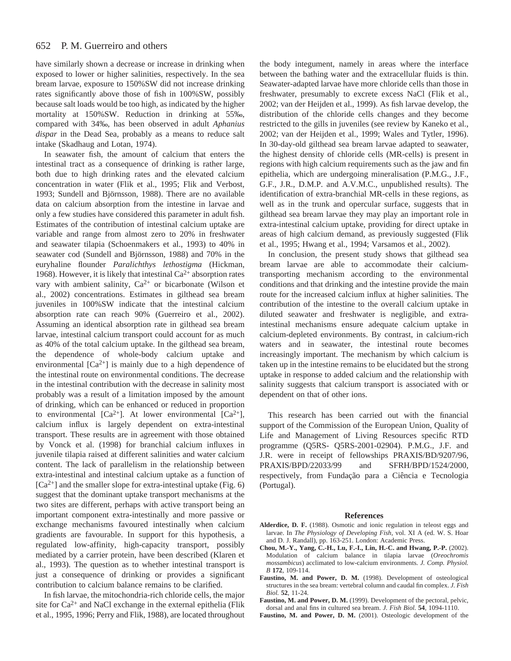have similarly shown a decrease or increase in drinking when exposed to lower or higher salinities, respectively. In the sea bream larvae, exposure to 150%SW did not increase drinking rates significantly above those of fish in 100%SW, possibly because salt loads would be too high, as indicated by the higher mortality at 150%SW. Reduction in drinking at 55‰, compared with 34‰, has been observed in adult *Aphanius dispar* in the Dead Sea, probably as a means to reduce salt intake (Skadhaug and Lotan, 1974).

In seawater fish, the amount of calcium that enters the intestinal tract as a consequence of drinking is rather large, both due to high drinking rates and the elevated calcium concentration in water (Flik et al., 1995; Flik and Verbost, 1993; Sundell and Björnsson, 1988). There are no available data on calcium absorption from the intestine in larvae and only a few studies have considered this parameter in adult fish. Estimates of the contribution of intestinal calcium uptake are variable and range from almost zero to 20% in freshwater and seawater tilapia (Schoenmakers et al., 1993) to 40% in seawater cod (Sundell and Björnsson, 1988) and 70% in the euryhaline flounder *Paralichthys lethostigma* (Hickman, 1968). However, it is likely that intestinal  $Ca^{2+}$  absorption rates vary with ambient salinity,  $Ca^{2+}$  or bicarbonate (Wilson et al., 2002) concentrations. Estimates in gilthead sea bream juveniles in 100%SW indicate that the intestinal calcium absorption rate can reach 90% (Guerreiro et al., 2002). Assuming an identical absorption rate in gilthead sea bream larvae, intestinal calcium transport could account for as much as 40% of the total calcium uptake. In the gilthead sea bream, the dependence of whole-body calcium uptake and environmental  $[Ca^{2+}]$  is mainly due to a high dependence of the intestinal route on environmental conditions. The decrease in the intestinal contribution with the decrease in salinity most probably was a result of a limitation imposed by the amount of drinking, which can be enhanced or reduced in proportion to environmental  $[Ca^{2+}]$ . At lower environmental  $[Ca^{2+}]$ , calcium influx is largely dependent on extra-intestinal transport. These results are in agreement with those obtained by Vonck et al. (1998) for branchial calcium influxes in juvenile tilapia raised at different salinities and water calcium content. The lack of parallelism in the relationship between extra-intestinal and intestinal calcium uptake as a function of  $[Ca<sup>2+</sup>]$  and the smaller slope for extra-intestinal uptake (Fig. 6) suggest that the dominant uptake transport mechanisms at the two sites are different, perhaps with active transport being an important component extra-intestinally and more passive or exchange mechanisms favoured intestinally when calcium gradients are favourable. In support for this hypothesis, a regulated low-affinity, high-capacity transport, possibly mediated by a carrier protein, have been described (Klaren et al., 1993). The question as to whether intestinal transport is just a consequence of drinking or provides a significant contribution to calcium balance remains to be clarified.

In fish larvae, the mitochondria-rich chloride cells, the major site for  $Ca^{2+}$  and NaCl exchange in the external epithelia (Flik et al., 1995, 1996; Perry and Flik, 1988), are located throughout

the body integument, namely in areas where the interface between the bathing water and the extracellular fluids is thin. Seawater-adapted larvae have more chloride cells than those in freshwater, presumably to excrete excess NaCl (Flik et al., 2002; van der Heijden et al., 1999). As fish larvae develop, the distribution of the chloride cells changes and they become restricted to the gills in juveniles (see review by Kaneko et al., 2002; van der Heijden et al., 1999; Wales and Tytler, 1996). In 30-day-old gilthead sea bream larvae adapted to seawater, the highest density of chloride cells (MR-cells) is present in regions with high calcium requirements such as the jaw and fin epithelia, which are undergoing mineralisation (P.M.G., J.F., G.F., J.R., D.M.P. and A.V.M.C., unpublished results). The identification of extra-branchial MR-cells in these regions, as well as in the trunk and opercular surface, suggests that in gilthead sea bream larvae they may play an important role in extra-intestinal calcium uptake, providing for direct uptake in areas of high calcium demand, as previously suggested (Flik et al., 1995; Hwang et al., 1994; Varsamos et al., 2002).

In conclusion, the present study shows that gilthead sea bream larvae are able to accommodate their calciumtransporting mechanism according to the environmental conditions and that drinking and the intestine provide the main route for the increased calcium influx at higher salinities. The contribution of the intestine to the overall calcium uptake in diluted seawater and freshwater is negligible, and extraintestinal mechanisms ensure adequate calcium uptake in calcium-depleted environments. By contrast, in calcium-rich waters and in seawater, the intestinal route becomes increasingly important. The mechanism by which calcium is taken up in the intestine remains to be elucidated but the strong uptake in response to added calcium and the relationship with salinity suggests that calcium transport is associated with or dependent on that of other ions.

This research has been carried out with the financial support of the Commission of the European Union, Quality of Life and Management of Living Resources specific RTD programme (Q5RS- Q5RS-2001-02904). P.M.G., J.F. and J.R. were in receipt of fellowships PRAXIS/BD/9207/96, PRAXIS/BPD/22033/99 and SFRH/BPD/1524/2000, respectively, from Fundação para a Ciência e Tecnologia (Portugal).

#### **References**

- **Alderdice, D. F.** (1988). Osmotic and ionic regulation in teleost eggs and larvae. In *The Physiology of Developing Fish*, vol. XI A (ed. W. S. Hoar and D. J. Randall), pp. 163-251. London: Academic Press.
- **Chou, M.-Y., Yang, C.-H., Lu, F.-I., Lin, H.-C. and Hwang, P.-P.** (2002). Modulation of calcium balance in tilapia larvae (*Oreochromis mossambicus*) acclimated to low-calcium environments. *J. Comp. Physiol. B* **172**, 109-114.
- Faustino, M. and Power, D. M. (1998). Development of osteological structures in the sea bream: vertebral column and caudal fin complex. *J. Fish Biol.* **52**, 11-24.
- Faustino, M. and Power, D. M. (1999). Development of the pectoral, pelvic, dorsal and anal fins in cultured sea bream. *J. Fish Biol.* **54**, 1094-1110.
- **Faustino, M. and Power, D. M.** (2001). Osteologic development of the